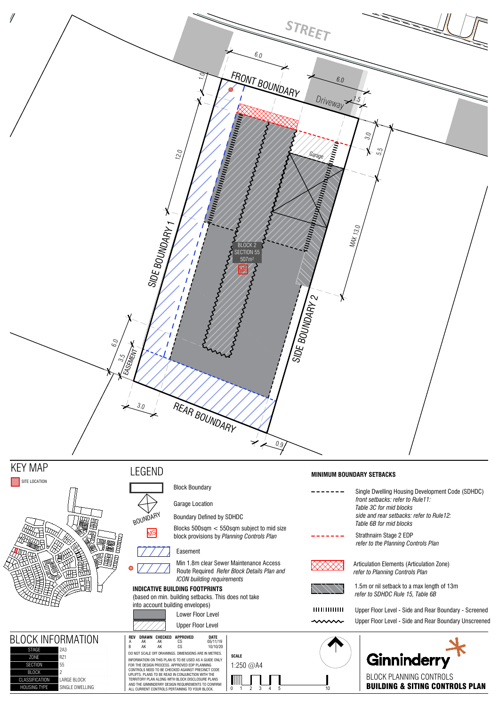